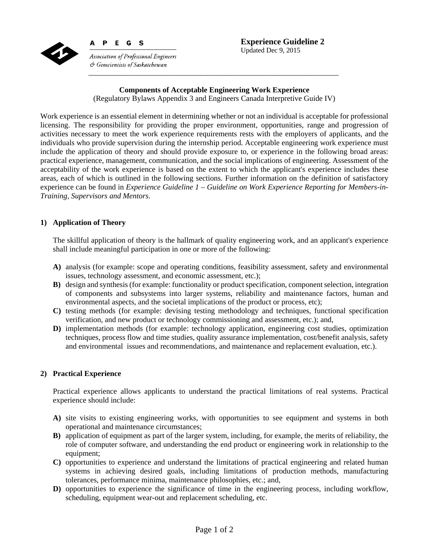

P E G S **Association of Professional Engineers** 

# **Components of Acceptable Engineering Work Experience**

(Regulatory Bylaws Appendix 3 and Engineers Canada Interpretive Guide IV)

Work experience is an essential element in determining whether or not an individual is acceptable for professional licensing. The responsibility for providing the proper environment, opportunities, range and progression of activities necessary to meet the work experience requirements rests with the employers of applicants, and the individuals who provide supervision during the internship period. Acceptable engineering work experience must include the application of theory and should provide exposure to, or experience in the following broad areas: practical experience, management, communication, and the social implications of engineering. Assessment of the acceptability of the work experience is based on the extent to which the applicant's experience includes these areas, each of which is outlined in the following sections. Further information on the definition of satisfactory experience can be found in *Experience Guideline 1 – Guideline on Work Experience Reporting for Members-in-Training, Supervisors and Mentors*.

# **1) Application of Theory**

The skillful application of theory is the hallmark of quality engineering work, and an applicant's experience shall include meaningful participation in one or more of the following:

- **A)** analysis (for example: scope and operating conditions, feasibility assessment, safety and environmental issues, technology assessment, and economic assessment, etc.);
- **B)** design and synthesis (for example: functionality or product specification, component selection, integration of components and subsystems into larger systems, reliability and maintenance factors, human and environmental aspects, and the societal implications of the product or process, etc);
- **C)** testing methods (for example: devising testing methodology and techniques, functional specification verification, and new product or technology commissioning and assessment, etc.); and,
- **D)** implementation methods (for example: technology application, engineering cost studies, optimization techniques, process flow and time studies, quality assurance implementation, cost/benefit analysis, safety and environmental issues and recommendations, and maintenance and replacement evaluation, etc.).

## **2) Practical Experience**

Practical experience allows applicants to understand the practical limitations of real systems. Practical experience should include:

- **A)** site visits to existing engineering works, with opportunities to see equipment and systems in both operational and maintenance circumstances;
- **B)** application of equipment as part of the larger system, including, for example, the merits of reliability, the role of computer software, and understanding the end product or engineering work in relationship to the equipment;
- **C)** opportunities to experience and understand the limitations of practical engineering and related human systems in achieving desired goals, including limitations of production methods, manufacturing tolerances, performance minima, maintenance philosophies, etc.; and,
- **D)** opportunities to experience the significance of time in the engineering process, including workflow, scheduling, equipment wear-out and replacement scheduling, etc.